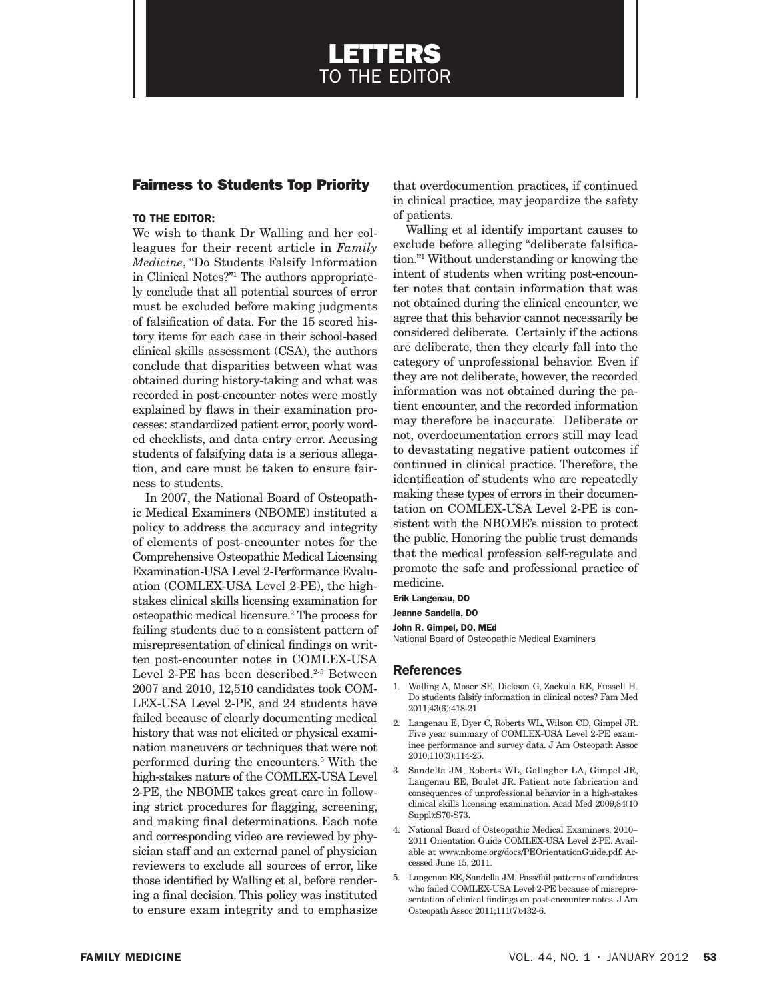# LETTERS TO THE EDITOR

## Fairness to Students Top Priority

### TO THE EDITOR:

We wish to thank Dr Walling and her colleagues for their recent article in *Family Medicine*, "Do Students Falsify Information in Clinical Notes?"1 The authors appropriately conclude that all potential sources of error must be excluded before making judgments of falsification of data. For the 15 scored history items for each case in their school-based clinical skills assessment (CSA), the authors conclude that disparities between what was obtained during history-taking and what was recorded in post-encounter notes were mostly explained by flaws in their examination processes: standardized patient error, poorly worded checklists, and data entry error. Accusing students of falsifying data is a serious allegation, and care must be taken to ensure fairness to students.

In 2007, the National Board of Osteopathic Medical Examiners (NBOME) instituted a policy to address the accuracy and integrity of elements of post-encounter notes for the Comprehensive Osteopathic Medical Licensing Examination-USA Level 2-Performance Evaluation (COMLEX-USA Level 2-PE), the highstakes clinical skills licensing examination for osteopathic medical licensure.2 The process for failing students due to a consistent pattern of misrepresentation of clinical findings on written post-encounter notes in COMLEX-USA Level 2-PE has been described.<sup>2-5</sup> Between 2007 and 2010, 12,510 candidates took COM-LEX-USA Level 2-PE, and 24 students have failed because of clearly documenting medical history that was not elicited or physical examination maneuvers or techniques that were not performed during the encounters.5 With the high-stakes nature of the COMLEX-USA Level 2-PE, the NBOME takes great care in following strict procedures for flagging, screening, and making final determinations. Each note and corresponding video are reviewed by physician staff and an external panel of physician reviewers to exclude all sources of error, like those identified by Walling et al, before rendering a final decision. This policy was instituted to ensure exam integrity and to emphasize

that overdocumention practices, if continued in clinical practice, may jeopardize the safety of patients.

Walling et al identify important causes to exclude before alleging "deliberate falsification."1 Without understanding or knowing the intent of students when writing post-encounter notes that contain information that was not obtained during the clinical encounter, we agree that this behavior cannot necessarily be considered deliberate. Certainly if the actions are deliberate, then they clearly fall into the category of unprofessional behavior. Even if they are not deliberate, however, the recorded information was not obtained during the patient encounter, and the recorded information may therefore be inaccurate. Deliberate or not, overdocumentation errors still may lead to devastating negative patient outcomes if continued in clinical practice. Therefore, the identification of students who are repeatedly making these types of errors in their documentation on COMLEX-USA Level 2-PE is consistent with the NBOME's mission to protect the public. Honoring the public trust demands that the medical profession self-regulate and promote the safe and professional practice of medicine.

Erik Langenau, DO

Jeanne Sandella, DO

John R. Gimpel, DO, MEd

National Board of Osteopathic Medical Examiners

#### References

- 1. Walling A, Moser SE, Dickson G, Zackula RE, Fussell H. Do students falsify information in clinical notes? Fam Med 2011;43(6):418-21.
- 2. Langenau E, Dyer C, Roberts WL, Wilson CD, Gimpel JR. Five year summary of COMLEX-USA Level 2-PE examinee performance and survey data. J Am Osteopath Assoc 2010;110(3):114-25.
- 3. Sandella JM, Roberts WL, Gallagher LA, Gimpel JR, Langenau EE, Boulet JR. Patient note fabrication and consequences of unprofessional behavior in a high-stakes clinical skills licensing examination. Acad Med 2009;84(10 Suppl):S70-S73.
- 4. National Board of Osteopathic Medical Examiners. 2010– 2011 Orientation Guide COMLEX-USA Level 2-PE. Available at www.nbome.org/docs/PEOrientationGuide.pdf. Accessed June 15, 2011.
- 5. Langenau EE, Sandella JM. Pass/fail patterns of candidates who failed COMLEX-USA Level 2-PE because of misrepresentation of clinical findings on post-encounter notes. J Am Osteopath Assoc 2011;111(7):432-6.